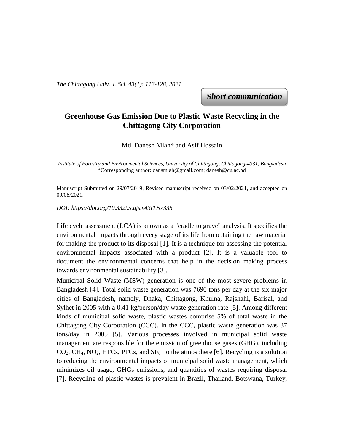*The Chittagong Univ. J. Sci. 43(1): 113-128, 2021*

 *Short communication*

# **Greenhouse Gas Emission Due to Plastic Waste Recycling in the Chittagong City Corporation**

Md. Danesh Miah\* and Asif Hossain

*Institute of Forestry and Environmental Sciences, University of Chittagong, Chittagong-4331, Bangladesh* \*Corresponding author: dansmiah@gmail.com; danesh@cu.ac.bd

Manuscript Submitted on 29/07/2019, Revised manuscript received on 03/02/2021, and accepted on 09/08/2021.

*DOI:<https://doi.org/10.3329/cujs.v43i1.57335>*

Life cycle assessment (LCA) is known as a "cradle to grave" analysis. It specifies the environmental impacts through every stage of its life from obtaining the raw material for making the product to its disposal [1]. It is a technique for assessing the potential environmental impacts associated with a product [2]. It is a valuable tool to document the environmental concerns that help in the decision making process towards environmental sustainability [3].

Municipal Solid Waste (MSW) generation is one of the most severe problems in Bangladesh [4]. Total solid waste generation was 7690 tons per day at the six major cities of Bangladesh, namely, Dhaka, Chittagong, Khulna, Rajshahi, Barisal, and Sylhet in 2005 with a 0.41 kg/person/day waste generation rate [5]. Among different kinds of municipal solid waste, plastic wastes comprise 5% of total waste in the Chittagong City Corporation (CCC). In the CCC, plastic waste generation was 37 tons/day in 2005 [5]. Various processes involved in municipal solid waste management are responsible for the emission of greenhouse gases (GHG), including  $CO<sub>2</sub>, CH<sub>4</sub>, NO<sub>2</sub>, HFCs, PFCs, and SF<sub>6</sub> to the atmosphere [6]. Recycling is a solution$ to reducing the environmental impacts of municipal solid waste management, which minimizes oil usage, GHGs emissions, and quantities of wastes requiring disposal [7]. Recycling of plastic wastes is prevalent in Brazil, Thailand, Botswana, Turkey,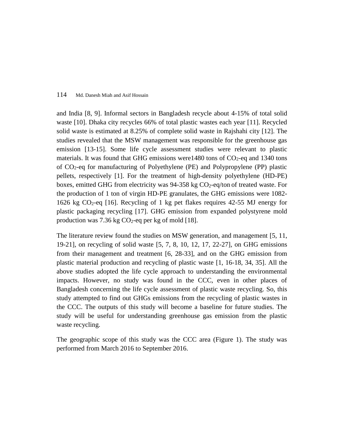and India [8, 9]. Informal sectors in Bangladesh recycle about 4-15% of total solid waste [10]. Dhaka city recycles 66% of total plastic wastes each year [11]. Recycled solid waste is estimated at 8.25% of complete solid waste in Rajshahi city [12]. The studies revealed that the MSW management was responsible for the greenhouse gas emission [13-15]. Some life cycle assessment studies were relevant to plastic materials. It was found that GHG emissions were  $1480$  tons of CO<sub>2</sub>-eq and 1340 tons of CO2-eq for manufacturing of Polyethylene (PE) and Polypropylene (PP) plastic pellets, respectively [1]. For the treatment of high-density polyethylene (HD-PE) boxes, emitted GHG from electricity was  $94-358$  kg  $CO<sub>2</sub>$ -eq/ton of treated waste. For the production of 1 ton of virgin HD-PE granulates, the GHG emissions were 1082- 1626 kg  $CO_2$ -eq [16]. Recycling of 1 kg pet flakes requires 42-55 MJ energy for plastic packaging recycling [17]. GHG emission from expanded polystyrene mold production was 7.36 kg  $CO<sub>2</sub>$ -eq per kg of mold [18].

The literature review found the studies on MSW generation, and management [5, 11, 19-21], on recycling of solid waste [5, 7, 8, 10, 12, 17, 22-27], on GHG emissions from their management and treatment [6, 28-33], and on the GHG emission from plastic material production and recycling of plastic waste [1, 16-18, 34, 35]. All the above studies adopted the life cycle approach to understanding the environmental impacts. However, no study was found in the CCC, even in other places of Bangladesh concerning the life cycle assessment of plastic waste recycling. So, this study attempted to find out GHGs emissions from the recycling of plastic wastes in the CCC. The outputs of this study will become a baseline for future studies. The study will be useful for understanding greenhouse gas emission from the plastic waste recycling.

The geographic scope of this study was the CCC area (Figure 1). The study was performed from March 2016 to September 2016.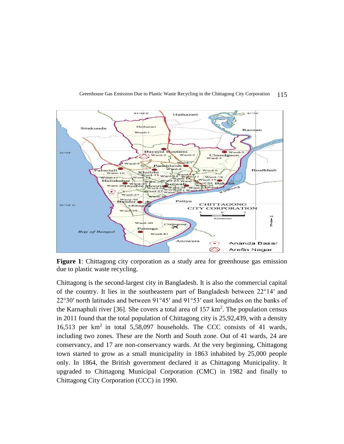

**Figure 1**: Chittagong city corporation as a study area for greenhouse gas emission due to plastic waste recycling.

Chittagong is the second-largest city in Bangladesh. It is also the commercial capital of the country. It lies in the southeastern part of Bangladesh between 22°14′ and 22°30′ north latitudes and between 91°45′ and 91°53′ east longitudes on the banks of the Karnaphuli river [36]. She covers a total area of  $157 \text{ km}^2$ . The population census in 2011 found that the total population of Chittagong city is 25,92,439, with a density 16,513 per  $km^2$  in total 5,58,097 households. The CCC consists of 41 wards, including two zones. These are the North and South zone. Out of 41 wards, 24 are conservancy, and 17 are non-conservancy wards. At the very beginning, Chittagong town started to grow as a small municipality in 1863 inhabited by 25,000 people only. In 1864, the British government declared it as Chittagong Municipality. It upgraded to Chittagong Municipal Corporation (CMC) in 1982 and finally to Chittagong City Corporation (CCC) in 1990.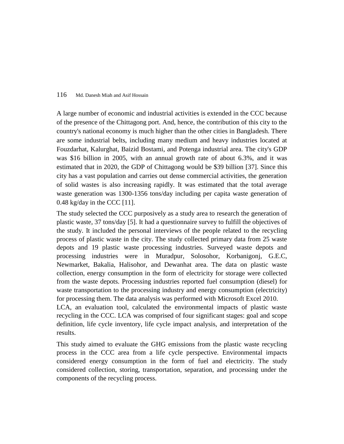A large number of economic and industrial activities is extended in the CCC because of the presence of the Chittagong port. And, hence, the contribution of this city to the country's national economy is much higher than the other cities in Bangladesh. There are some industrial belts, including many medium and heavy industries located at Fouzdarhat, Kalurghat, Baizid Bostami, and Potenga industrial area. The city's GDP was \$16 billion in 2005, with an annual growth rate of about 6.3%, and it was estimated that in 2020, the GDP of Chittagong would be \$39 billion [37]. Since this city has a vast population and carries out dense commercial activities, the generation of solid wastes is also increasing rapidly. It was estimated that the total average waste generation was 1300-1356 tons/day including per capita waste generation of  $0.48 \text{ kg/day}$  in the CCC [11].

The study selected the CCC purposively as a study area to research the generation of plastic waste, 37 tons/day [5]. It had a questionnaire survey to fulfill the objectives of the study. It included the personal interviews of the people related to the recycling process of plastic waste in the city. The study collected primary data from 25 waste depots and 19 plastic waste processing industries. Surveyed waste depots and processing industries were in Muradpur, Solosohor, Korbanigonj, G.E.C, Newmarket, Bakalia, Halisohor, and Dewanhat area. The data on plastic waste collection, energy consumption in the form of electricity for storage were collected from the waste depots. Processing industries reported fuel consumption (diesel) for waste transportation to the processing industry and energy consumption (electricity) for processing them. The data analysis was performed with Microsoft Excel 2010.

LCA, an evaluation tool, calculated the environmental impacts of plastic waste recycling in the CCC. LCA was comprised of four significant stages: goal and scope definition, life cycle inventory, life cycle impact analysis, and interpretation of the results.

This study aimed to evaluate the GHG emissions from the plastic waste recycling process in the CCC area from a life cycle perspective. Environmental impacts considered energy consumption in the form of fuel and electricity. The study considered collection, storing, transportation, separation, and processing under the components of the recycling process.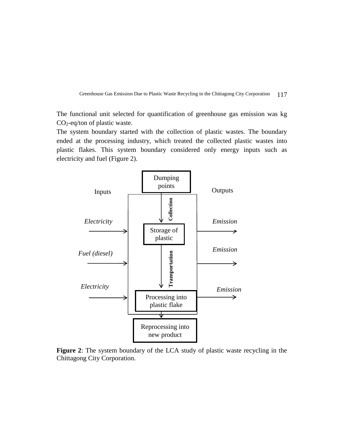

The functional unit selected for quantification of greenhouse gas emission was kg CO2-eq/ton of plastic waste.

The system boundary started with the collection of plastic wastes. The boundary ended at the processing industry, which treated the collected plastic wastes into plastic flakes. This system boundary considered only energy inputs such as electricity and fuel (Figure 2).



**Figure 2**: The system boundary of the LCA study of plastic waste recycling in the Chittagong City Corporation.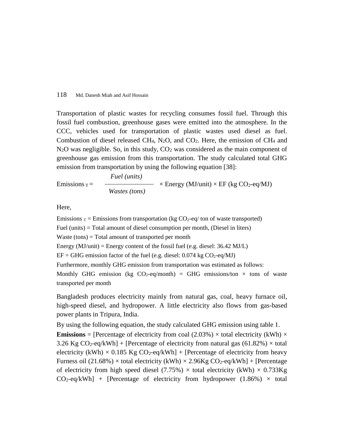Transportation of plastic wastes for recycling consumes fossil fuel. Through this fossil fuel combustion, greenhouse gases were emitted into the atmosphere. In the CCC, vehicles used for transportation of plastic wastes used diesel as fuel. Combustion of diesel released CH<sub>4</sub>, N<sub>2</sub>O, and CO<sub>2</sub>. Here, the emission of CH<sub>4</sub> and  $N_2O$  was negligible. So, in this study,  $CO_2$  was considered as the main component of greenhouse gas emission from this transportation. The study calculated total GHG emission from transportation by using the following equation [38]:

$$
Emissions_T = \frac{Full (units)}{Wastes (tons)} \times Energy (MJ/unit) \times EF (kg CO_2-eq/MJ)
$$

Here,

Emissions  $T =$  Emissions from transportation (kg  $CO_2$ -eq/ ton of waste transported) Fuel (units) = Total amount of diesel consumption per month, (Diesel in liters) Waste (tons) = Total amount of transported per month Energy ( $MJ$ unit) = Energy content of the fossil fuel (e.g. diesel: 36.42 MJ/L)  $EF = GHG$  emission factor of the fuel (e.g. diesel: 0.074 kg  $CO_2$ -eq/MJ) Furthermore, monthly GHG emission from transportation was estimated as follows: Monthly GHG emission (kg  $CO_2$ -eq/month) = GHG emissions/ton  $\times$  tons of waste transported per month

Bangladesh produces electricity mainly from natural gas, coal, heavy furnace oil, high-speed diesel, and hydropower. A little electricity also flows from gas-based power plants in Tripura, India.

By using the following equation, the study calculated GHG emission using table 1. **Emissions** = [Percentage of electricity from coal (2.03%)  $\times$  total electricity (kWh)  $\times$ 3.26 Kg CO<sub>2</sub>-eq/kWh] + [Percentage of electricity from natural gas  $(61.82\%) \times$  total electricity (kWh)  $\times$  0.185 Kg CO<sub>2</sub>-eq/kWh] + [Percentage of electricity from heavy Furness oil (21.68%)  $\times$  total electricity (kWh)  $\times$  2.96Kg CO<sub>2</sub>-eq/kWh] + [Percentage of electricity from high speed diesel (7.75%)  $\times$  total electricity (kWh)  $\times$  0.733Kg  $CO_2$ -eq/kWh] + [Percentage of electricity from hydropower (1.86%)  $\times$  total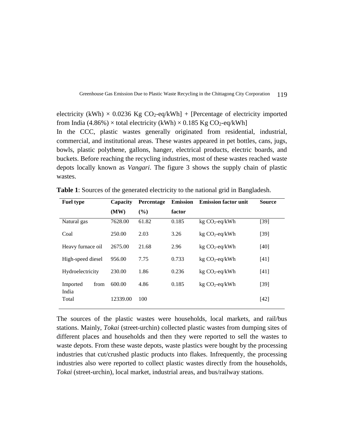electricity (kWh)  $\times$  0.0236 Kg CO<sub>2</sub>-eq/kWh] + [Percentage of electricity imported from India (4.86%)  $\times$  total electricity (kWh)  $\times$  0.185 Kg CO<sub>2</sub>-eq/kWh]

In the CCC, plastic wastes generally originated from residential, industrial, commercial, and institutional areas. These wastes appeared in pet bottles, cans, jugs, bowls, plastic polythene, gallons, hanger, electrical products, electric boards, and buckets. Before reaching the recycling industries, most of these wastes reached waste depots locally known as *Vangari*. The figure 3 shows the supply chain of plastic wastes.

| <b>Fuel type</b>  | Capacity | Percentage | <b>Emission</b> | <b>Emission factor unit</b> | <b>Source</b> |
|-------------------|----------|------------|-----------------|-----------------------------|---------------|
|                   | (MW)     | (%)        | factor          |                             |               |
| Natural gas       | 7628.00  | 61.82      | 0.185           | $kg CO2-eq/kWh$             | $[39]$        |
| Coal              | 250.00   | 2.03       | 3.26            | $kg CO2-eq/kWh$             | $[39]$        |
| Heavy furnace oil | 2675.00  | 21.68      | 2.96            | $kg CO2 - eq/kWh$           | [40]          |
| High-speed diesel | 956.00   | 7.75       | 0.733           | $kg CO2-eq/kWh$             | [41]          |
| Hydroelectricity  | 230.00   | 1.86       | 0.236           | $kg CO2 - eq/kWh$           | [41]          |
| Imported<br>from  | 600.00   | 4.86       | 0.185           | $kg CO2-eq/kWh$             | $[39]$        |
| India<br>Total    | 12339.00 | 100        |                 |                             | $[42]$        |

**Table 1**: Sources of the generated electricity to the national grid in Bangladesh.

The sources of the plastic wastes were households, local markets, and rail/bus stations. Mainly, *Tokai* (street-urchin) collected plastic wastes from dumping sites of different places and households and then they were reported to sell the wastes to waste depots. From these waste depots, waste plastics were bought by the processing industries that cut/crushed plastic products into flakes. Infrequently, the processing industries also were reported to collect plastic wastes directly from the households, *Tokai* (street-urchin), local market, industrial areas, and bus/railway stations.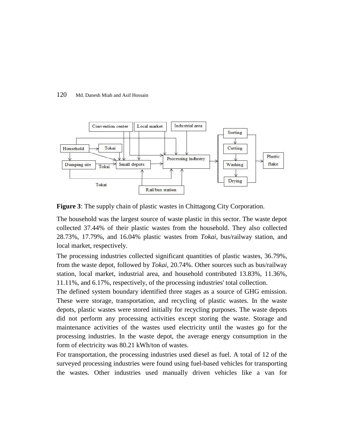

**Figure 3**: The supply chain of plastic wastes in Chittagong City Corporation.

The household was the largest source of waste plastic in this sector. The waste depot collected 37.44% of their plastic wastes from the household. They also collected 28.73%, 17.79%, and 16.04% plastic wastes from *Tokai*, bus/railway station, and local market, respectively.

The processing industries collected significant quantities of plastic wastes, 36.79%, from the waste depot, followed by *Tokai,* 20.74%. Other sources such as bus/railway station, local market, industrial area, and household contributed 13.83%, 11.36%, 11.11%, and 6.17%, respectively, of the processing industries' total collection.

The defined system boundary identified three stages as a source of GHG emission. These were storage, transportation, and recycling of plastic wastes. In the waste depots, plastic wastes were stored initially for recycling purposes. The waste depots did not perform any processing activities except storing the waste. Storage and maintenance activities of the wastes used electricity until the wastes go for the processing industries. In the waste depot, the average energy consumption in the form of electricity was 80.21 kWh/ton of wastes.

For transportation, the processing industries used diesel as fuel. A total of 12 of the surveyed processing industries were found using fuel-based vehicles for transporting the wastes. Other industries used manually driven vehicles like a van for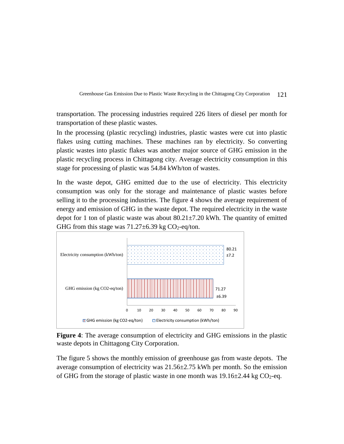transportation. The processing industries required 226 liters of diesel per month for transportation of these plastic wastes.

In the processing (plastic recycling) industries, plastic wastes were cut into plastic flakes using cutting machines. These machines ran by electricity. So converting plastic wastes into plastic flakes was another major source of GHG emission in the plastic recycling process in Chittagong city. Average electricity consumption in this stage for processing of plastic was 54.84 kWh/ton of wastes.

In the waste depot, GHG emitted due to the use of electricity. This electricity consumption was only for the storage and maintenance of plastic wastes before selling it to the processing industries. The figure 4 shows the average requirement of energy and emission of GHG in the waste depot. The required electricity in the waste depot for 1 ton of plastic waste was about 80.21±7.20 kWh. The quantity of emitted GHG from this stage was  $71.27\pm6.39$  kg CO<sub>2</sub>-eq/ton.



**Figure 4**: The average consumption of electricity and GHG emissions in the plastic waste depots in Chittagong City Corporation.

The figure 5 shows the monthly emission of greenhouse gas from waste depots. The average consumption of electricity was 21.56±2.75 kWh per month. So the emission of GHG from the storage of plastic waste in one month was  $19.16\pm2.44$  kg CO<sub>2</sub>-eq.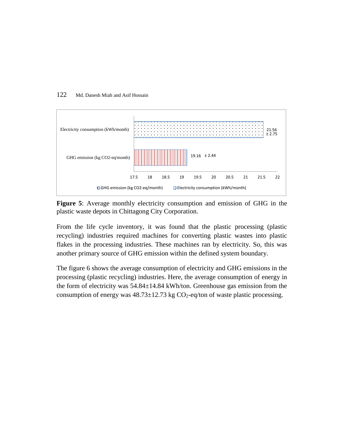

**Figure 5**: Average monthly electricity consumption and emission of GHG in the plastic waste depots in Chittagong City Corporation.

From the life cycle inventory, it was found that the plastic processing (plastic recycling) industries required machines for converting plastic wastes into plastic flakes in the processing industries. These machines ran by electricity. So, this was another primary source of GHG emission within the defined system boundary.

The figure 6 shows the average consumption of electricity and GHG emissions in the processing (plastic recycling) industries. Here, the average consumption of energy in the form of electricity was 54.84±14.84 kWh/ton. Greenhouse gas emission from the consumption of energy was  $48.73 \pm 12.73$  kg CO<sub>2</sub>-eq/ton of waste plastic processing.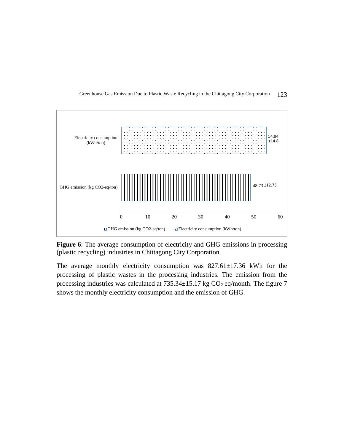



**Figure 6**: The average consumption of electricity and GHG emissions in processing (plastic recycling) industries in Chittagong City Corporation.

The average monthly electricity consumption was  $827.61 \pm 17.36$  kWh for the processing of plastic wastes in the processing industries. The emission from the processing industries was calculated at  $735.34\pm15.17$  kg  $CO_2$ -eq/month. The figure 7 shows the monthly electricity consumption and the emission of GHG.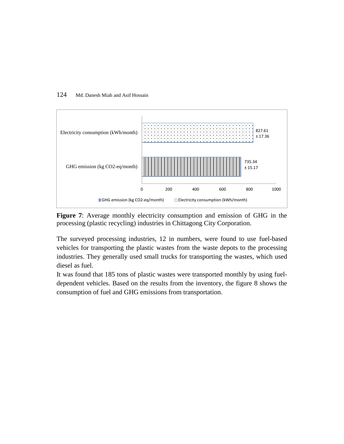

**Figure 7**: Average monthly electricity consumption and emission of GHG in the processing (plastic recycling) industries in Chittagong City Corporation.

The surveyed processing industries, 12 in numbers, were found to use fuel-based vehicles for transporting the plastic wastes from the waste depots to the processing industries. They generally used small trucks for transporting the wastes, which used diesel as fuel.

It was found that 185 tons of plastic wastes were transported monthly by using fueldependent vehicles. Based on the results from the inventory, the figure 8 shows the consumption of fuel and GHG emissions from transportation.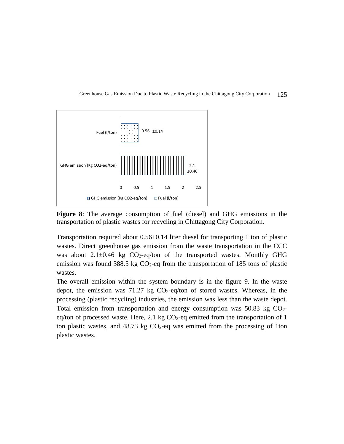



**Figure 8**: The average consumption of fuel (diesel) and GHG emissions in the transportation of plastic wastes for recycling in Chittagong City Corporation.

Transportation required about 0.56±0.14 liter diesel for transporting 1 ton of plastic wastes. Direct greenhouse gas emission from the waste transportation in the CCC was about  $2.1\pm0.46$  kg CO<sub>2</sub>-eq/ton of the transported wastes. Monthly GHG emission was found 388.5 kg  $CO<sub>2</sub>$ -eq from the transportation of 185 tons of plastic wastes.

The overall emission within the system boundary is in the figure 9. In the waste depot, the emission was 71.27 kg  $CO<sub>2</sub>$ -eq/ton of stored wastes. Whereas, in the processing (plastic recycling) industries, the emission was less than the waste depot. Total emission from transportation and energy consumption was  $50.83 \text{ kg } CO<sub>2</sub>$ eq/ton of processed waste. Here, 2.1 kg  $CO<sub>2</sub>$ -eq emitted from the transportation of 1 ton plastic wastes, and  $48.73$  kg CO<sub>2</sub>-eq was emitted from the processing of 1ton plastic wastes.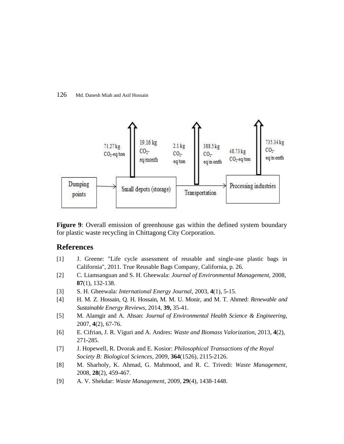

**Figure 9**: Overall emission of greenhouse gas within the defined system boundary for plastic waste recycling in Chittagong City Corporation.

# **References**

- [1] J. Greene: "Life cycle assessment of reusable and single-use plastic bags in California", 2011. True Reusable Bags Company, California, p. 26.
- [2] C. Liamsanguan and S. H. Gheewala: *Journal of Environmental Management,* 2008, **87**(1), 132-138.
- [3] S. H. Gheewala: *International Energy Journal,* 2003, **4**(1), 5-15.
- [4] H. M. Z. Hossain, Q. H. Hossain, M. M. U. Monir*,* and M. T. Ahmed: *Renewable and Sustainable Energy Reviews,* 2014, **39,** 35-41.
- [5] M. Alamgir and A. Ahsan: *Journal of Environmental Health Science & Engineering,* 2007, **4**(2), 67-76.
- [6] E. Cifrian, J. R. Viguri and A. Andres: *Waste and Biomass Valorization,* 2013, **4**(2), 271-285.
- [7] J. Hopewell, R. Dvorak and E. Kosior: *Philosophical Transactions of the Royal Society B: Biological Sciences,* 2009, **364**(1526), 2115-2126.
- [8] M. Sharholy, K. Ahmad, G. Mahmood*,* and R. C. Trivedi: *Waste Management,* 2008, **28**(2), 459-467.
- [9] A. V. Shekdar: *Waste Management,* 2009, **29**(4), 1438-1448.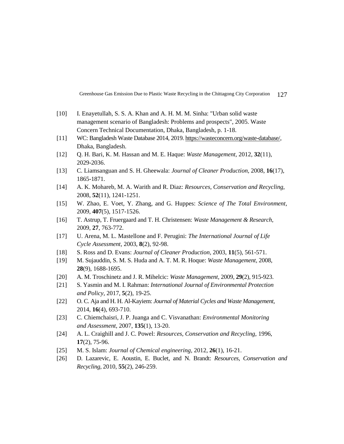- [10] I. Enayetullah, S. S. A. Khan and A. H. M. M. Sinha: "Urban solid waste management scenario of Bangladesh: Problems and prospects", 2005. Waste Concern Technical Documentation, Dhaka, Bangladesh, p. 1-18.
- [11] WC: Bangladesh Waste Database 2014, 2019. [https://wasteconcern.org/waste-database/,](https://wasteconcern.org/waste-database/) Dhaka, Bangladesh.
- [12] Q. H. Bari, K. M. Hassan and M. E. Haque: *Waste Management,* 2012, **32**(11), 2029-2036.
- [13] C. Liamsanguan and S. H. Gheewala: *Journal of Cleaner Production,* 2008, **16**(17), 1865-1871.
- [14] A. K. Mohareb, M. A. Warith and R. Diaz: *Resources, Conservation and Recycling,* 2008, **52**(11), 1241-1251.
- [15] W. Zhao, E. Voet, Y. Zhang*,* and G. Huppes: *Science of The Total Environment,* 2009, **407**(5), 1517-1526.
- [16] T. Astrup, T. Fruergaard and T. H. Christensen: *Waste Management & Research,* 2009, **27**, 763-772.
- [17] U. Arena, M. L. Mastellone and F. Perugini: *The International Journal of Life Cycle Assessment,* 2003, **8**(2), 92-98.
- [18] S. Ross and D. Evans: *Journal of Cleaner Production,* 2003, **11**(5), 561-571.
- [19] M. Sujauddin, S. M. S. Huda and A. T. M. R. Hoque: *Waste Management,* 2008, **28**(9), 1688-1695.
- [20] A. M. Troschinetz and J. R. Mihelcic: *Waste Management,* 2009, **29**(2), 915-923.
- [21] S. Yasmin and M. I. Rahman: *International Journal of Environmental Protection and Policy,* 2017, **5**(2), 19-25.
- [22] O. C. Aja and H. H. Al-Kayiem: *Journal of Material Cycles and Waste Management,* 2014, **16**(4), 693-710.
- [23] C. Chiemchaisri, J. P. Juanga and C. Visvanathan: *Environmental Monitoring and Assessment,* 2007, **135**(1), 13-20.
- [24] A. L. Craighill and J. C. Powel: *Resources, Conservation and Recycling,* 1996, **17**(2), 75-96.
- [25] M. S. Islam: *Journal of Chemical engineering,* 2012, **26**(1), 16-21.
- [26] D. Lazarevic, E. Aoustin, E. Buclet*,* and N. Brandt: *Resources, Conservation and Recycling,* 2010, **55**(2), 246-259.